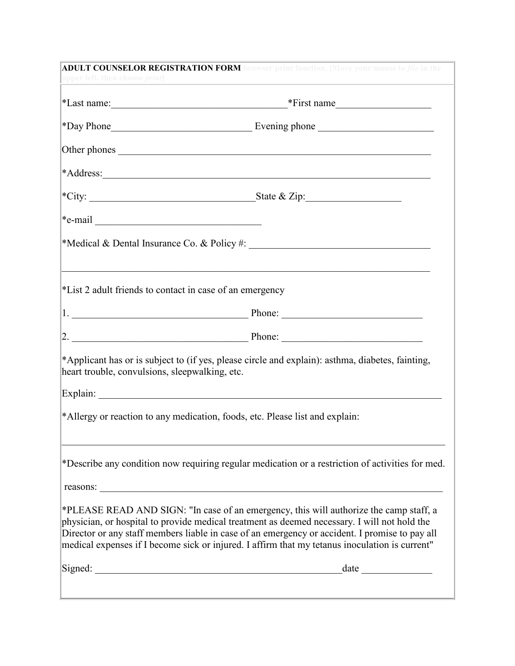| upper left, then choose <i>print</i>           | <b>ADULT COUNSELOR REGISTRATION FORM</b> browser print function. [Move your mouse to <i>file</i> in the<br>and the control of the control of the control of the control of the control of the control of the control of th                                                                                                                                                                 |
|------------------------------------------------|--------------------------------------------------------------------------------------------------------------------------------------------------------------------------------------------------------------------------------------------------------------------------------------------------------------------------------------------------------------------------------------------|
|                                                |                                                                                                                                                                                                                                                                                                                                                                                            |
|                                                |                                                                                                                                                                                                                                                                                                                                                                                            |
|                                                |                                                                                                                                                                                                                                                                                                                                                                                            |
|                                                |                                                                                                                                                                                                                                                                                                                                                                                            |
|                                                |                                                                                                                                                                                                                                                                                                                                                                                            |
| $*$ e-mail                                     |                                                                                                                                                                                                                                                                                                                                                                                            |
|                                                |                                                                                                                                                                                                                                                                                                                                                                                            |
|                                                | *List 2 adult friends to contact in case of an emergency                                                                                                                                                                                                                                                                                                                                   |
|                                                | 1. Phone: Phone: 2008. Phone: 2008. Phone: 2008. Phone: 2008. Phone: 2008. Phone: 2008. Phone: 2008. Phone: 2008. Phone: 2008. Phone: 2008. Phone: 2008. Phone: 2008. Phone: 2008. Phone: 2008. Phone: 2008. Phone: 2008. Phon                                                                                                                                                             |
|                                                |                                                                                                                                                                                                                                                                                                                                                                                            |
| heart trouble, convulsions, sleepwalking, etc. | *Applicant has or is subject to (if yes, please circle and explain): asthma, diabetes, fainting,                                                                                                                                                                                                                                                                                           |
|                                                |                                                                                                                                                                                                                                                                                                                                                                                            |
|                                                | *Allergy or reaction to any medication, foods, etc. Please list and explain:                                                                                                                                                                                                                                                                                                               |
|                                                | *Describe any condition now requiring regular medication or a restriction of activities for med.                                                                                                                                                                                                                                                                                           |
|                                                | reasons:                                                                                                                                                                                                                                                                                                                                                                                   |
|                                                | *PLEASE READ AND SIGN: "In case of an emergency, this will authorize the camp staff, a<br>physician, or hospital to provide medical treatment as deemed necessary. I will not hold the<br>Director or any staff members liable in case of an emergency or accident. I promise to pay all<br>medical expenses if I become sick or injured. I affirm that my tetanus inoculation is current" |
| Signed:                                        | date                                                                                                                                                                                                                                                                                                                                                                                       |
|                                                |                                                                                                                                                                                                                                                                                                                                                                                            |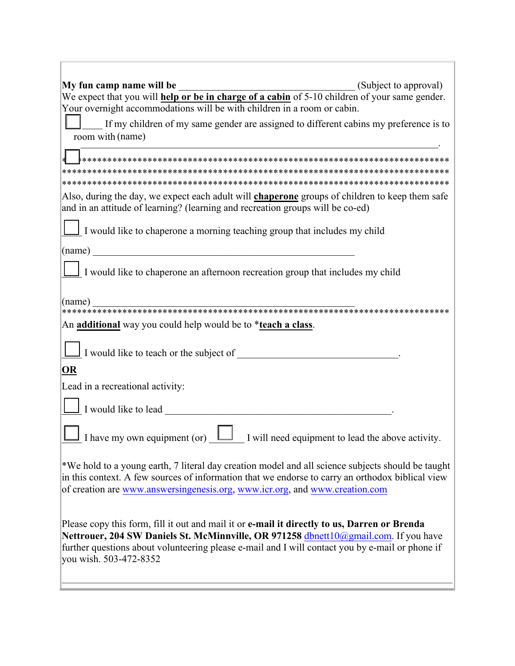| My fun camp name will be<br>(Subject to approval)                                                                                                                                                                                                                                                                 |
|-------------------------------------------------------------------------------------------------------------------------------------------------------------------------------------------------------------------------------------------------------------------------------------------------------------------|
| <b>Noting 19 among the UP in the Equipment</b> (Subject to approval)<br>We expect that you will <b>help or be in charge of a cabin</b> of 5-10 children of your same gender.                                                                                                                                      |
| Your overnight accommodations will be with children in a room or cabin.                                                                                                                                                                                                                                           |
| If my children of my same gender are assigned to different cabins my preference is to<br>room with (name)                                                                                                                                                                                                         |
|                                                                                                                                                                                                                                                                                                                   |
|                                                                                                                                                                                                                                                                                                                   |
|                                                                                                                                                                                                                                                                                                                   |
| Also, during the day, we expect each adult will <b>chaperone</b> groups of children to keep them safe<br>and in an attitude of learning? (learning and recreation groups will be co-ed)                                                                                                                           |
| I would like to chaperone a morning teaching group that includes my child                                                                                                                                                                                                                                         |
| (name)                                                                                                                                                                                                                                                                                                            |
| I would like to chaperone an afternoon recreation group that includes my child                                                                                                                                                                                                                                    |
| (name)                                                                                                                                                                                                                                                                                                            |
| An additional way you could help would be to *teach a class.                                                                                                                                                                                                                                                      |
| I would like to teach or the subject of                                                                                                                                                                                                                                                                           |
| OR                                                                                                                                                                                                                                                                                                                |
| Lead in a recreational activity:                                                                                                                                                                                                                                                                                  |
| I would like to lead                                                                                                                                                                                                                                                                                              |
| I have my own equipment (or) $\Box$ I will need equipment to lead the above activity.                                                                                                                                                                                                                             |
| *We hold to a young earth, 7 literal day creation model and all science subjects should be taught<br>in this context. A few sources of information that we endorse to carry an orthodox biblical view<br>of creation are www.answersingenesis.org, www.icr.org, and www.creation.com                              |
| Please copy this form, fill it out and mail it or e-mail it directly to us, Darren or Brenda<br>Nettrouer, 204 SW Daniels St. McMinnville, OR 971258 dbnett10@gmail.com. If you have<br>further questions about volunteering please e-mail and I will contact you by e-mail or phone if<br>you wish. 503-472-8352 |
|                                                                                                                                                                                                                                                                                                                   |

<u> 1989 - Johann Stein, marwolaethau a bhann an t-Amhain an t-Amhain an t-Amhain an t-Amhain an t-Amhain an t-A</u>

 $\overline{1}$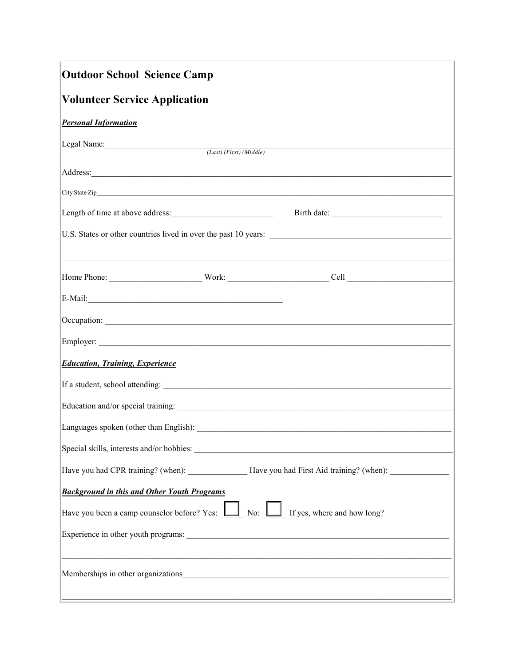| <b>Outdoor School Science Camp</b>                                                                                                                                                                                                   |  |  |  |  |
|--------------------------------------------------------------------------------------------------------------------------------------------------------------------------------------------------------------------------------------|--|--|--|--|
| <b>Volunteer Service Application</b>                                                                                                                                                                                                 |  |  |  |  |
| <b>Personal Information</b>                                                                                                                                                                                                          |  |  |  |  |
| Legal Name: (Last) (First) (Middle)                                                                                                                                                                                                  |  |  |  |  |
|                                                                                                                                                                                                                                      |  |  |  |  |
|                                                                                                                                                                                                                                      |  |  |  |  |
|                                                                                                                                                                                                                                      |  |  |  |  |
|                                                                                                                                                                                                                                      |  |  |  |  |
|                                                                                                                                                                                                                                      |  |  |  |  |
|                                                                                                                                                                                                                                      |  |  |  |  |
| Occupation: <u>contract and contract and contract and contract and contract and contract and contract and contract and contract and contract and contract and contract and contract and contract and contract and contract and c</u> |  |  |  |  |
|                                                                                                                                                                                                                                      |  |  |  |  |
| <b>Education, Training, Experience</b>                                                                                                                                                                                               |  |  |  |  |
|                                                                                                                                                                                                                                      |  |  |  |  |
|                                                                                                                                                                                                                                      |  |  |  |  |
|                                                                                                                                                                                                                                      |  |  |  |  |
| Special skills, interests and/or hobbies:                                                                                                                                                                                            |  |  |  |  |
| Have you had CPR training? (when): ___________________Have you had First Aid training? (when): _______________                                                                                                                       |  |  |  |  |
| <b>Background in this and Other Youth Programs</b>                                                                                                                                                                                   |  |  |  |  |
| Have you been a camp counselor before? Yes: $\Box$ No: $\Box$ If yes, where and how long?                                                                                                                                            |  |  |  |  |
|                                                                                                                                                                                                                                      |  |  |  |  |
|                                                                                                                                                                                                                                      |  |  |  |  |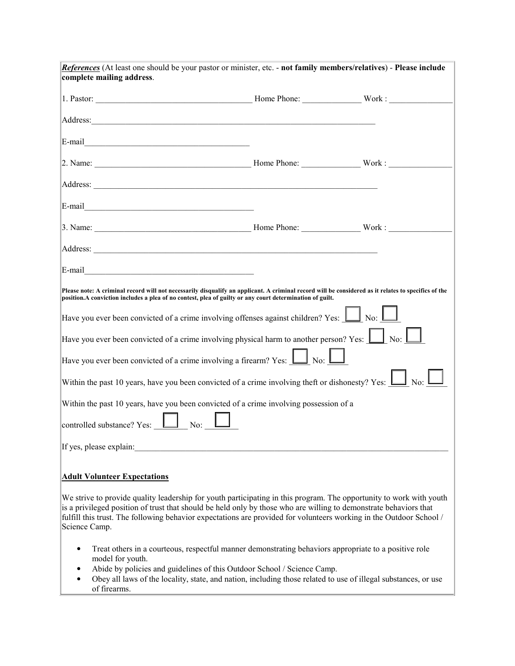| References (At least one should be your pastor or minister, etc. - not family members/relatives) - Please include                                                                                                                                                                                                                                                                |  |  |  |  |
|----------------------------------------------------------------------------------------------------------------------------------------------------------------------------------------------------------------------------------------------------------------------------------------------------------------------------------------------------------------------------------|--|--|--|--|
| complete mailing address.                                                                                                                                                                                                                                                                                                                                                        |  |  |  |  |
| 1. Pastor: Work: Work: Work: Work: Work: Work: Work: Work: Work: Work: Work: Work: Work: Work: Work: Work: Work: Work: Work: Work: Work: Work: Work: Work: Work: Work: Work: Work: Work: Work: Work: Work: Work: Work: Work: W                                                                                                                                                   |  |  |  |  |
| Address: <u>International Contract of the second contract of the second contract of the second contract of the second contract of the second contract of the second contract of the second contract of the second contract of th</u>                                                                                                                                             |  |  |  |  |
| E-mail explorer and the second services of the services of the services of the services of the services of the services of the services of the services of the services of the services of the services of the services of the                                                                                                                                                   |  |  |  |  |
|                                                                                                                                                                                                                                                                                                                                                                                  |  |  |  |  |
| Address: <u>Contract of the contract of the contract of the contract of the contract of the contract of the contract of the contract of the contract of the contract of the contract of the contract of the contract of the cont</u>                                                                                                                                             |  |  |  |  |
|                                                                                                                                                                                                                                                                                                                                                                                  |  |  |  |  |
| 3. Name: Work: Work: Work: Work: Work: Work: Work: Work: Work: Work: Work: 2009. 2009. 2009. 2009. 2009. 2009. 2009. 2009. 2009. 2009. 2009. 2009. 2009. 2009. 2009. 2009. 2009. 2009. 2009. 2009. 2009. 2009. 2009. 2009. 200                                                                                                                                                   |  |  |  |  |
|                                                                                                                                                                                                                                                                                                                                                                                  |  |  |  |  |
|                                                                                                                                                                                                                                                                                                                                                                                  |  |  |  |  |
| Please note: A criminal record will not necessarily disqualify an applicant. A criminal record will be considered as it relates to specifics of the<br>position. A conviction includes a plea of no contest, plea of guilty or any court determination of guilt.                                                                                                                 |  |  |  |  |
| Have you ever been convicted of a crime involving offenses against children? Yes: $\boxed{\phantom{1}}$ No: $\boxed{\phantom{1}}$                                                                                                                                                                                                                                                |  |  |  |  |
| Have you ever been convicted of a crime involving physical harm to another person? Yes: $\boxed{\phantom{1}}$ No: $\boxed{\phantom{1}}$                                                                                                                                                                                                                                          |  |  |  |  |
| Have you ever been convicted of a crime involving a firearm? Yes: $\boxed{\underline{\qquad}}$ No: $\boxed{\qquad}$                                                                                                                                                                                                                                                              |  |  |  |  |
| Within the past 10 years, have you been convicted of a crime involving theft or dishonesty? Yes: $\Box$ No: $\Box$                                                                                                                                                                                                                                                               |  |  |  |  |
| Within the past 10 years, have you been convicted of a crime involving possession of a                                                                                                                                                                                                                                                                                           |  |  |  |  |
| controlled substance? Yes: $\boxed{\phantom{2} \phantom{2} \phantom{2} No: \phantom{2} \phantom{2} \phantom{2} No: }$                                                                                                                                                                                                                                                            |  |  |  |  |
| If yes, please explain:                                                                                                                                                                                                                                                                                                                                                          |  |  |  |  |
| <b>Adult Volunteer Expectations</b>                                                                                                                                                                                                                                                                                                                                              |  |  |  |  |
| We strive to provide quality leadership for youth participating in this program. The opportunity to work with youth<br>is a privileged position of trust that should be held only by those who are willing to demonstrate behaviors that<br>fulfill this trust. The following behavior expectations are provided for volunteers working in the Outdoor School /<br>Science Camp. |  |  |  |  |
| Treat others in a courteous, respectful manner demonstrating behaviors appropriate to a positive role<br>$\bullet$<br>model for youth.                                                                                                                                                                                                                                           |  |  |  |  |
| Abide by policies and guidelines of this Outdoor School / Science Camp.<br>Obey all laws of the locality, state, and nation, including those related to use of illegal substances, or use<br>of firearms.                                                                                                                                                                        |  |  |  |  |